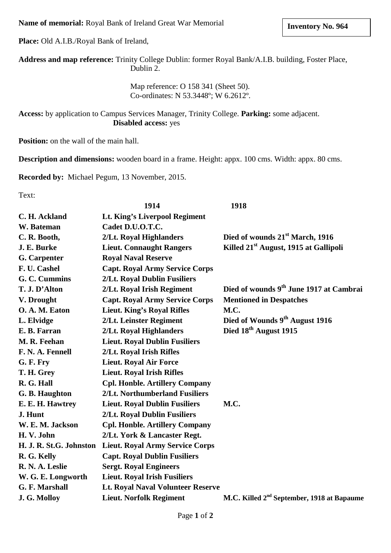**Name of memorial:** Royal Bank of Ireland Great War Memorial

**Place:** Old A.I.B./Royal Bank of Ireland,

**Address and map reference:** Trinity College Dublin: former Royal Bank/A.I.B. building, Foster Place, Dublin 2.

> Map reference: O 158 341 (Sheet 50). Co-ordinates: N 53.3448º; W 6.2612º.

**Access:** by application to Campus Services Manager, Trinity College. **Parking:** some adjacent. **Disabled access:** yes

**Position:** on the wall of the main hall.

**Description and dimensions:** wooden board in a frame. Height: appx. 100 cms. Width: appx. 80 cms.

**Recorded by:** Michael Pegum, 13 November, 2015.

Text:

|                         | 1914                                     | 1918                                                   |
|-------------------------|------------------------------------------|--------------------------------------------------------|
| C. H. Ackland           | Lt. King's Liverpool Regiment            |                                                        |
| W. Bateman              | Cadet D.U.O.T.C.                         |                                                        |
| C. R. Booth,            | 2/Lt. Royal Highlanders                  | Died of wounds 21 <sup>st</sup> March, 1916            |
| J. E. Burke             | <b>Lieut. Connaught Rangers</b>          | Killed 21 <sup>st</sup> August, 1915 at Gallipoli      |
| <b>G.</b> Carpenter     | <b>Royal Naval Reserve</b>               |                                                        |
| F. U. Cashel            | <b>Capt. Royal Army Service Corps</b>    |                                                        |
| G. C. Cummins           | 2/Lt. Royal Dublin Fusiliers             |                                                        |
| T. J. D'Alton           | 2/Lt. Royal Irish Regiment               | Died of wounds 9 <sup>th</sup> June 1917 at Cambrai    |
| V. Drought              | <b>Capt. Royal Army Service Corps</b>    | <b>Mentioned in Despatches</b>                         |
| O. A. M. Eaton          | <b>Lieut. King's Royal Rifles</b>        | M.C.                                                   |
| L. Elvidge              | 2/Lt. Leinster Regiment                  | Died of Wounds 9 <sup>th</sup> August 1916             |
| E. B. Farran            | 2/Lt. Royal Highlanders                  | Died 18 <sup>th</sup> August 1915                      |
| M. R. Feehan            | <b>Lieut. Royal Dublin Fusiliers</b>     |                                                        |
| F. N. A. Fennell        | 2/Lt. Royal Irish Rifles                 |                                                        |
| G. F. Fry               | <b>Lieut. Royal Air Force</b>            |                                                        |
| T. H. Grey              | <b>Lieut. Royal Irish Rifles</b>         |                                                        |
| R. G. Hall              | <b>Cpl. Honble. Artillery Company</b>    |                                                        |
| G. B. Haughton          | 2/Lt. Northumberland Fusiliers           |                                                        |
| E. E. H. Hawtrey        | <b>Lieut. Royal Dublin Fusiliers</b>     | M.C.                                                   |
| J. Hunt                 | 2/Lt. Royal Dublin Fusiliers             |                                                        |
| W. E. M. Jackson        | <b>Cpl. Honble. Artillery Company</b>    |                                                        |
| H.V. John               | 2/Lt. York & Lancaster Regt.             |                                                        |
| H. J. R. St.G. Johnston | <b>Lieut. Royal Army Service Corps</b>   |                                                        |
| R. G. Kelly             | <b>Capt. Royal Dublin Fusiliers</b>      |                                                        |
| R. N. A. Leslie         | <b>Sergt. Royal Engineers</b>            |                                                        |
| W. G. E. Longworth      | <b>Lieut. Royal Irish Fusiliers</b>      |                                                        |
| G. F. Marshall          | <b>Lt. Royal Naval Volunteer Reserve</b> |                                                        |
| J. G. Molloy            | <b>Lieut. Norfolk Regiment</b>           | M.C. Killed 2 <sup>nd</sup> September, 1918 at Bapaume |